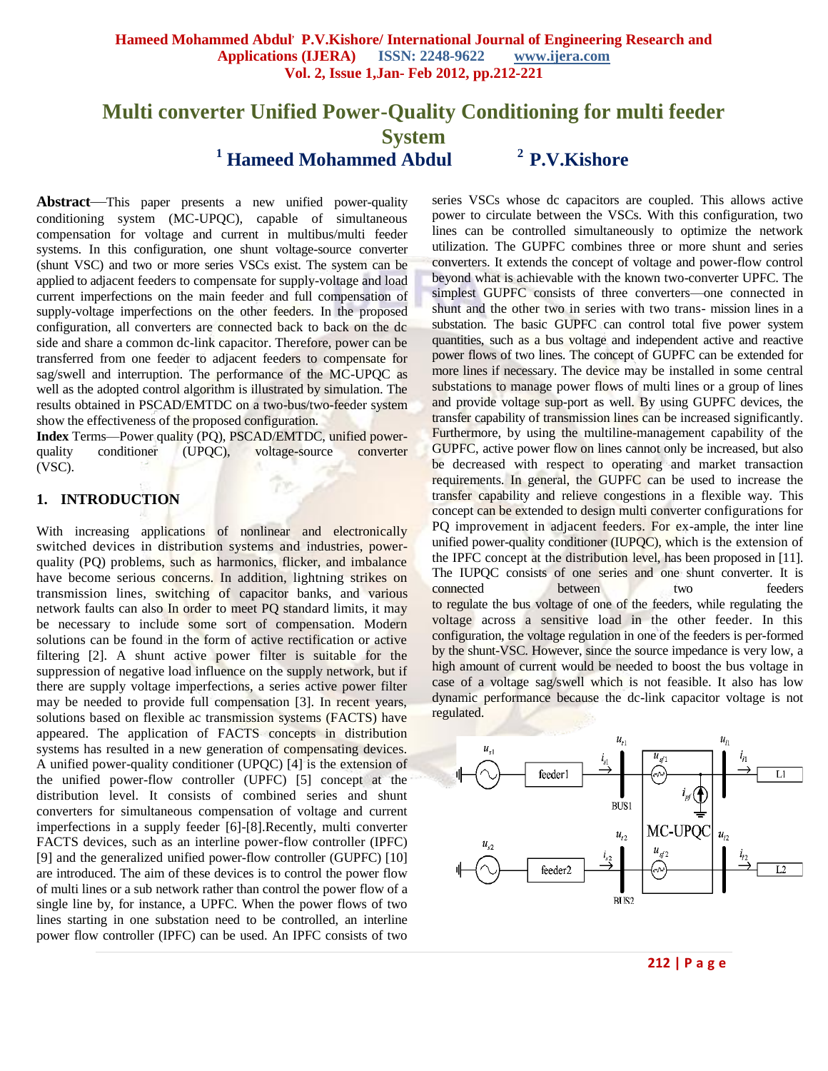# **Multi converter Unified Power-Quality Conditioning for multi feeder System <sup>1</sup> Hameed Mohammed Abdul <sup>2</sup>P.V.Kishore**

**Abstract**—This paper presents a new unified power-quality conditioning system (MC-UPQC), capable of simultaneous compensation for voltage and current in multibus/multi feeder systems. In this configuration, one shunt voltage-source converter (shunt VSC) and two or more series VSCs exist. The system can be applied to adjacent feeders to compensate for supply-voltage and load current imperfections on the main feeder and full compensation of supply-voltage imperfections on the other feeders. In the proposed configuration, all converters are connected back to back on the dc side and share a common dc-link capacitor. Therefore, power can be transferred from one feeder to adjacent feeders to compensate for sag/swell and interruption. The performance of the MC-UPQC as well as the adopted control algorithm is illustrated by simulation. The results obtained in PSCAD/EMTDC on a two-bus/two-feeder system show the effectiveness of the proposed configuration.

**Index** Terms—Power quality (PQ), PSCAD/EMTDC, unified powerquality conditioner (UPQC), voltage-source converter (VSC).

### **1. INTRODUCTION**

With increasing applications of nonlinear and electronically switched devices in distribution systems and industries, powerquality (PQ) problems, such as harmonics, flicker, and imbalance have become serious concerns. In addition, lightning strikes on transmission lines, switching of capacitor banks, and various network faults can also In order to meet PQ standard limits, it may be necessary to include some sort of compensation. Modern solutions can be found in the form of active rectification or active filtering [2]. A shunt active power filter is suitable for the suppression of negative load influence on the supply network, but if there are supply voltage imperfections, a series active power filter may be needed to provide full compensation [3]. In recent years, solutions based on flexible ac transmission systems (FACTS) have appeared. The application of FACTS concepts in distribution systems has resulted in a new generation of compensating devices. A unified power-quality conditioner (UPQC) [4] is the extension of the unified power-flow controller (UPFC) [5] concept at the distribution level. It consists of combined series and shunt converters for simultaneous compensation of voltage and current imperfections in a supply feeder [6]-[8].Recently, multi converter FACTS devices, such as an interline power-flow controller (IPFC) [9] and the generalized unified power-flow controller (GUPFC) [10] are introduced. The aim of these devices is to control the power flow of multi lines or a sub network rather than control the power flow of a single line by, for instance, a UPFC. When the power flows of two lines starting in one substation need to be controlled, an interline power flow controller (IPFC) can be used. An IPFC consists of two

series VSCs whose dc capacitors are coupled. This allows active power to circulate between the VSCs. With this configuration, two lines can be controlled simultaneously to optimize the network utilization. The GUPFC combines three or more shunt and series converters. It extends the concept of voltage and power-flow control beyond what is achievable with the known two-converter UPFC. The simplest GUPFC consists of three converters—one connected in shunt and the other two in series with two trans- mission lines in a substation. The basic GUPFC can control total five power system quantities, such as a bus voltage and independent active and reactive power flows of two lines. The concept of GUPFC can be extended for more lines if necessary. The device may be installed in some central substations to manage power flows of multi lines or a group of lines and provide voltage sup-port as well. By using GUPFC devices, the transfer capability of transmission lines can be increased significantly. Furthermore, by using the multiline-management capability of the GUPFC, active power flow on lines cannot only be increased, but also be decreased with respect to operating and market transaction requirements. In general, the GUPFC can be used to increase the transfer capability and relieve congestions in a flexible way. This concept can be extended to design multi converter configurations for PQ improvement in adjacent feeders. For ex-ample, the inter line unified power-quality conditioner (IUPQC), which is the extension of the IPFC concept at the distribution level, has been proposed in [11]. The IUPQC consists of one series and one shunt converter. It is connected between two feeders to regulate the bus voltage of one of the feeders, while regulating the voltage across a sensitive load in the other feeder. In this configuration, the voltage regulation in one of the feeders is per-formed by the shunt-VSC. However, since the source impedance is very low, a high amount of current would be needed to boost the bus voltage in case of a voltage sag/swell which is not feasible. It also has low dynamic performance because the dc-link capacitor voltage is not regulated.



**212 | P a g e**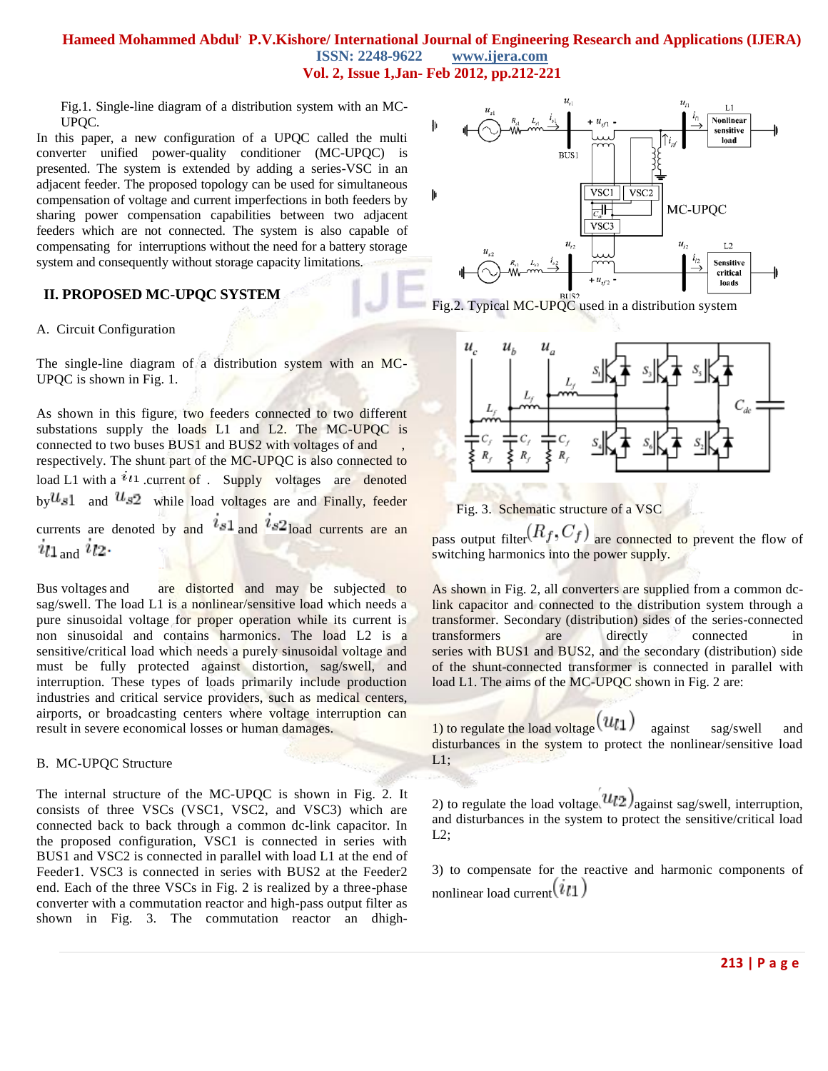Fig.1. Single-line diagram of a distribution system with an MC-UPOC.

In this paper, a new configuration of a UPQC called the multi converter unified power-quality conditioner (MC-UPQC) is presented. The system is extended by adding a series-VSC in an adjacent feeder. The proposed topology can be used for simultaneous compensation of voltage and current imperfections in both feeders by sharing power compensation capabilities between two adjacent feeders which are not connected. The system is also capable of compensating for interruptions without the need for a battery storage system and consequently without storage capacity limitations.

## **II. PROPOSED MC-UPQC SYSTEM**

#### A. Circuit Configuration

The single-line diagram of a distribution system with an MC-UPQC is shown in Fig. 1.

As shown in this figure, two feeders connected to two different substations supply the loads L1 and L2. The MC-UPQC is connected to two buses BUS1 and BUS2 with voltages of and respectively. The shunt part of the MC-UPQC is also connected to load L1 with a  $^{i}l1$  current of . Supply voltages are denoted  $b_1v^2$  and  $u_{s2}$  while load voltages are and Finally, feeder currents are denoted by and  $i_{s1}$  and  $i_{s2}$  load currents are an  $i_{l1}$ <sub>and</sub>  $i_{l2}$ .

Bus voltages and are distorted and may be subjected to sag/swell. The load L1 is a nonlinear/sensitive load which needs a pure sinusoidal voltage for proper operation while its current is non sinusoidal and contains harmonics. The load L2 is a sensitive/critical load which needs a purely sinusoidal voltage and must be fully protected against distortion, sag/swell, and interruption. These types of loads primarily include production industries and critical service providers, such as medical centers, airports, or broadcasting centers where voltage interruption can result in severe economical losses or human damages.

#### B. MC-UPQC Structure

The internal structure of the MC-UPQC is shown in Fig. 2. It consists of three VSCs (VSC1, VSC2, and VSC3) which are connected back to back through a common dc-link capacitor. In the proposed configuration, VSC1 is connected in series with BUS1 and VSC2 is connected in parallel with load L1 at the end of Feeder1. VSC3 is connected in series with BUS2 at the Feeder2 end. Each of the three VSCs in Fig. 2 is realized by a three-phase converter with a commutation reactor and high-pass output filter as shown in Fig. 3. The commutation reactor an dhigh-









pass output filter  $(R_f, C_f)$  are connected to prevent the flow of switching harmonics into the power supply.

As shown in Fig. 2, all converters are supplied from a common dclink capacitor and connected to the distribution system through a transformer. Secondary (distribution) sides of the series-connected transformers are directly connected in series with BUS1 and BUS2, and the secondary (distribution) side of the shunt-connected transformer is connected in parallel with load L1. The aims of the MC-UPQC shown in Fig. 2 are:

1) to regulate the load voltage  $(u_l)$  against sag/swell and disturbances in the system to protect the nonlinear/sensitive load  $L1$ ;

2) to regulate the load voltage  $u_{2}$  against sag/swell, interruption, and disturbances in the system to protect the sensitive/critical load  $L2$ ;

3) to compensate for the reactive and harmonic components of nonlinear load current  $(i_{l1})$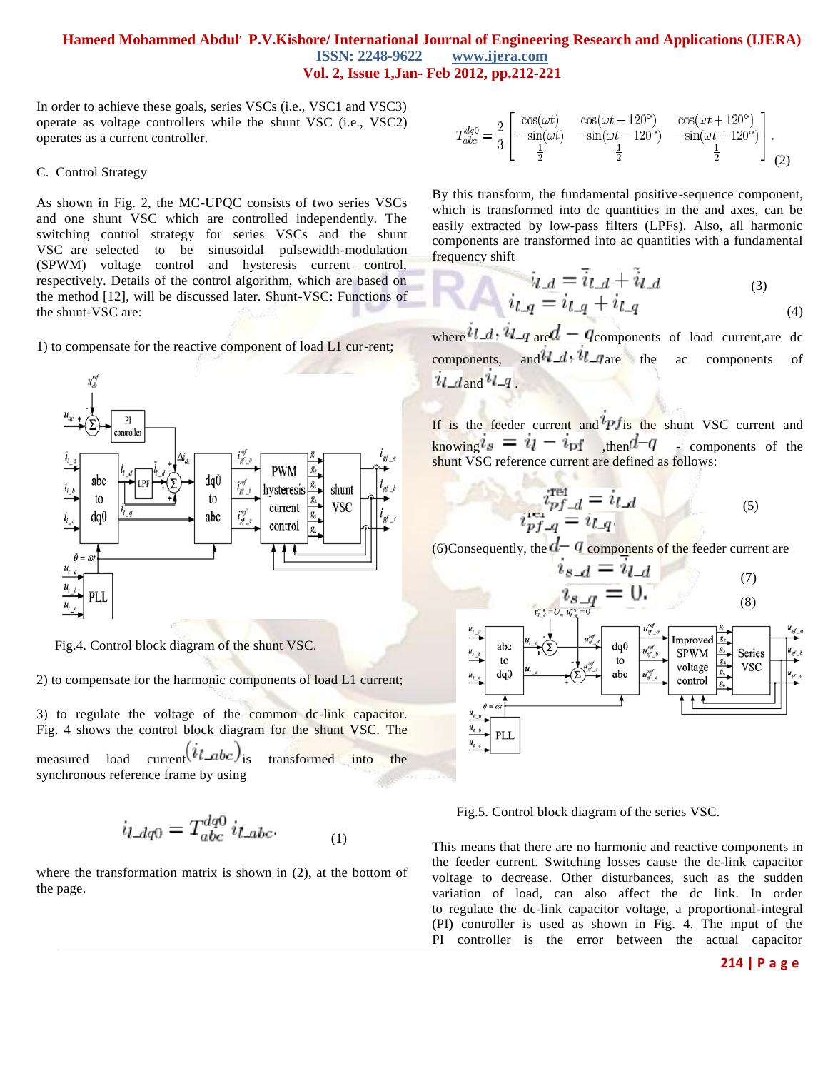In order to achieve these goals, series VSCs (i.e., VSC1 and VSC3) operate as voltage controllers while the shunt VSC (i.e., VSC2) operates as a current controller.

#### C. Control Strategy

As shown in Fig. 2, the MC-UPQC consists of two series VSCs and one shunt VSC which are controlled independently. The switching control strategy for series VSCs and the shunt VSC are selected to be sinusoidal pulsewidth-modulation (SPWM) voltage control and hysteresis current control, respectively. Details of the control algorithm, which are based on the method [12], will be discussed later. Shunt-VSC: Functions of the shunt-VSC are:

1) to compensate for the reactive component of load L1 cur-rent;



Fig.4. Control block diagram of the shunt VSC.

2) to compensate for the harmonic components of load L1 current;

3) to regulate the voltage of the common dc-link capacitor. Fig. 4 shows the control block diagram for the shunt VSC. The measured load current  $(i\iota_{\neg abc})_{is}$  transformed into the synchronous reference frame by using

$$
i_{l \to q0} = T_{abc}^{dq0} i_{l \to bc}.
$$
 (1)

where the transformation matrix is shown in (2), at the bottom of the page.

$$
T_{abc}^{dq0} = \frac{2}{3} \begin{bmatrix} \cos(\omega t) & \cos(\omega t - 120^{\circ}) & \cos(\omega t + 120^{\circ}) \\ -\sin(\omega t) & -\sin(\omega t - 120^{\circ}) & -\sin(\omega t + 120^{\circ}) \\ \frac{1}{2} & \frac{1}{2} & \frac{1}{2} \end{bmatrix} .
$$
 (2)

By this transform, the fundamental positive-sequence component, which is transformed into dc quantities in the and axes, can be easily extracted by low-pass filters (LPFs). Also, all harmonic components are transformed into ac quantities with a fundamental frequency shift

$$
i_{l,d} = i_{l,d} + i_{l,d}
$$
  
\n
$$
i_{l,q} = i_{l,q} + i_{l,q}
$$
  
\n(3)

where  $i_{\ell}d$ ,  $i_{\ell}q$  are  $d - q$  components of load current, are dc components, and  $i \ell \rightarrow i \ell$  are the ac components of  $i_{l\_d}$  and  $i_{l-q}$ .

If is the feeder current and  $^{1}Pf$  is the shunt VSC current and knowing  $i_s = i_l - i_{pf}$ , then  $d - q$  components of the shunt VSC reference current are defined as follows:

$$
i_{pf\_q}^{\text{ref}} = i_{l\_q}
$$
  
\n
$$
i_{pf\_q}^{\text{ref}} = i_{l\_q}
$$
 (5)

(6)Consequently, the  $d - q$  components of the feeder current are

$$
i_{s,d} = i_{l,d}
$$
  
\n
$$
i_{s,q} = 0.
$$
  
\n(7)  
\n(8)



Fig.5. Control block diagram of the series VSC.

This means that there are no harmonic and reactive components in the feeder current. Switching losses cause the dc-link capacitor voltage to decrease. Other disturbances, such as the sudden variation of load, can also affect the dc link. In order to regulate the dc-link capacitor voltage, a proportional-integral (PI) controller is used as shown in Fig. 4. The input of the PI controller is the error between the actual capacitor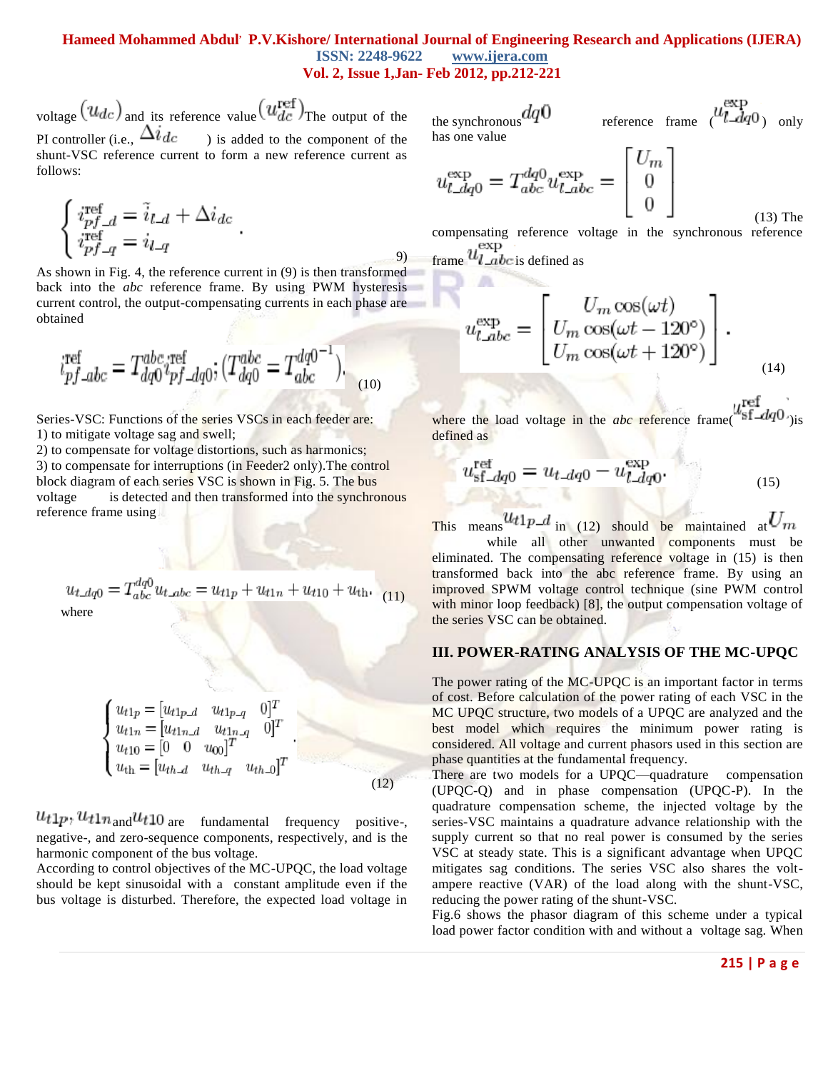voltage  $(u_{dc})$  and its reference value  $(u_{dc}^{\text{ref}})$ The output of the PI controller (i.e.,  $\Delta u$  is added to the component of the shunt-VSC reference current to form a new reference current as follows:

$$
\begin{cases}\n i_{pf\_d}^{\text{ref}} = \tilde{i}_{l\_d} + \Delta i_{dc} \\
 i_{pf\_q}^{\text{ref}} = i_{l\_q}\n\end{cases}.
$$
\n(9)

As shown in Fig. 4, the reference current in (9) is then transformed back into the *abc* reference frame. By using PWM hysteresis current control, the output-compensating currents in each phase are obtained

$$
T_{pf\_abc}^{\text{ref}} = T_{dq0}^{abc} T_{pf\_dq0}^{\text{ref}} \cdot (T_{dq0}^{abc} = T_{abc}^{dq0^{-1}}).
$$
 (10)

Series-VSC: Functions of the series VSCs in each feeder are: 1) to mitigate voltage sag and swell;

2) to compensate for voltage distortions, such as harmonics; 3) to compensate for interruptions (in Feeder2 only).The control block diagram of each series VSC is shown in Fig. 5. The bus voltage is detected and then transformed into the synchronous reference frame using

 $u_{t,dq0} = T_{abc}^{dq0} u_{t,abc} = u_{t1p} + u_{t1n} + u_{t10} + u_{th}.$  (11) where

$$
\begin{cases}\nu_{t1p} = [u_{t1p-d} & u_{t1p-q} & 0]^T \\
u_{t1n} = [u_{t1n-d} & u_{t1n-q} & 0]^T \\
u_{t10} = [0 & 0 & u_{00}]^T \\
u_{th} = [u_{th-d} & u_{th-q} & u_{th-0}]^T\n\end{cases}.
$$
\n(12)

 $u_{t1p}, u_{t1n}$  and  $u_{t10}$  are fundamental frequency positive-, negative-, and zero-sequence components, respectively, and is the harmonic component of the bus voltage.

According to control objectives of the MC-UPQC, the load voltage should be kept sinusoidal with a constant amplitude even if the bus voltage is disturbed. Therefore, the expected load voltage in

the synchronous 
$$
dq0
$$
  
there are the same values of the same values of the same values.

$$
u_{l\_dq0}^{\exp} = T_{abc}^{dq0} u_{l\_abc}^{\exp} = \begin{bmatrix} U_m \\ 0 \\ 0 \end{bmatrix}
$$
 (13) The

compensating reference voltage in the synchronous reference exp

frame  $u_{l\_abc}$  is defined as

$$
u_{l\_abc}^{\exp} = \begin{bmatrix} U_m \cos(\omega t) \\ U_m \cos(\omega t - 120^\circ) \\ U_m \cos(\omega t + 120^\circ) \end{bmatrix}.
$$
 (14)

where the load voltage in the *abc* reference frame( defined as

$$
u_{\rm sf-dq0}^{\rm ref} = u_{t-dq0} - u_{t-dq0}^{\rm exp}.
$$
 (15)

This means  $u_{t1p-d}$  in (12) should be maintained at  $U_m$ 

while all other unwanted components must be eliminated. The compensating reference voltage in (15) is then transformed back into the abc reference frame. By using an improved SPWM voltage control technique (sine PWM control with minor loop feedback) [8], the output compensation voltage of the series VSC can be obtained.

#### **III. POWER-RATING ANALYSIS OF THE MC-UPQC**

The power rating of the MC-UPQC is an important factor in terms of cost. Before calculation of the power rating of each VSC in the MC UPQC structure, two models of a UPQC are analyzed and the best model which requires the minimum power rating is considered. All voltage and current phasors used in this section are phase quantities at the fundamental frequency.

There are two models for a UPQC—quadrature compensation (UPQC-Q) and in phase compensation (UPQC-P). In the quadrature compensation scheme, the injected voltage by the series-VSC maintains a quadrature advance relationship with the supply current so that no real power is consumed by the series VSC at steady state. This is a significant advantage when UPQC mitigates sag conditions. The series VSC also shares the voltampere reactive (VAR) of the load along with the shunt-VSC, reducing the power rating of the shunt-VSC.

Fig.6 shows the phasor diagram of this scheme under a typical load power factor condition with and without a voltage sag. When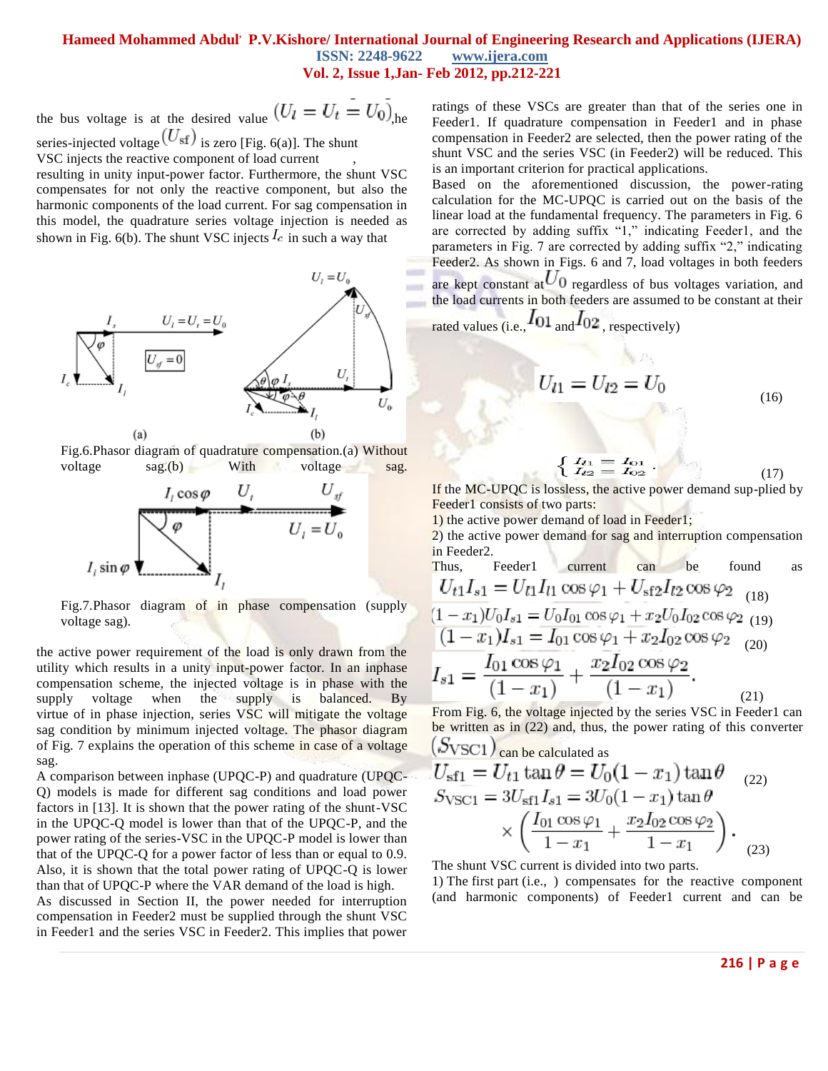the bus voltage is at the desired value  $(U_l = U_t = U_0)_{h}$ series-injected voltage  $(U_{\text{sf}})$  is zero [Fig. 6(a)]. The shunt VSC injects the reactive component of load current

resulting in unity input-power factor. Furthermore, the shunt VSC compensates for not only the reactive component, but also the harmonic components of the load current. For sag compensation in this model, the quadrature series voltage injection is needed as shown in Fig. 6(b). The shunt VSC injects  $I_c$  in such a way that



Fig.6.Phasor diagram of quadrature compensation.(a) Without voltage sag.(b) With voltage sag.



Fig.7.Phasor diagram of in phase compensation (supply voltage sag).

the active power requirement of the load is only drawn from the utility which results in a unity input-power factor. In an inphase compensation scheme, the injected voltage is in phase with the supply voltage when the supply is balanced. By virtue of in phase injection, series VSC will mitigate the voltage sag condition by minimum injected voltage. The phasor diagram of Fig. 7 explains the operation of this scheme in case of a voltage sag.

A comparison between inphase (UPQC-P) and quadrature (UPQC-Q) models is made for different sag conditions and load power factors in [13]. It is shown that the power rating of the shunt-VSC in the UPQC-Q model is lower than that of the UPQC-P, and the power rating of the series-VSC in the UPQC-P model is lower than that of the UPQC-Q for a power factor of less than or equal to 0.9. Also, it is shown that the total power rating of UPQC-Q is lower than that of UPQC-P where the VAR demand of the load is high.

As discussed in Section II, the power needed for interruption compensation in Feeder2 must be supplied through the shunt VSC in Feeder1 and the series VSC in Feeder2. This implies that power

ratings of these VSCs are greater than that of the series one in Feeder1. If quadrature compensation in Feeder1 and in phase compensation in Feeder2 are selected, then the power rating of the shunt VSC and the series VSC (in Feeder2) will be reduced. This is an important criterion for practical applications.

Based on the aforementioned discussion, the power-rating calculation for the MC-UPQC is carried out on the basis of the linear load at the fundamental frequency. The parameters in Fig. 6 are corrected by adding suffix "1," indicating Feeder1, and the parameters in Fig. 7 are corrected by adding suffix "2," indicating Feeder2. As shown in Figs. 6 and 7, load voltages in both feeders are kept constant at  $U_0$  regardless of bus voltages variation, and the load currents in both feeders are assumed to be constant at their

rated values (i.e.,  $I_{01}$  and  $I_{02}$ , respectively)

$$
U_{l1} = U_{l2} = U_0
$$
\n<sup>(16)</sup>

$$
\begin{cases} I_{11} = I_{01} \\ I_{12} = I_{02} \end{cases} . \tag{17}
$$

If the MC-UPQC is lossless, the active power demand sup-plied by Feeder1 consists of two parts:

1) the active power demand of load in Feeder1;

2) the active power demand for sag and interruption compensation in Feeder2.

Thus, Feeder1 current can be found as  
\n
$$
U_{t1}I_{s1} = U_{t1}I_{l1} \cos \varphi_1 + U_{s1}I_{l2} \cos \varphi_2
$$
\n
$$
(1-x_1)U_0I_{s1} = U_0I_{01} \cos \varphi_1 + x_2U_0I_{02} \cos \varphi_2
$$
\n
$$
(1-x_1)I_{s1} = I_{01} \cos \varphi_1 + x_2I_{02} \cos \varphi_2
$$
\n
$$
I_{s1} = \frac{I_{01} \cos \varphi_1}{(1-x_1)} + \frac{x_2I_{02} \cos \varphi_2}{(1-x_1)}
$$
\n
$$
(1-x_1) \qquad (1-x_1)
$$
\n(21)

From Fig. 6, the voltage injected by the series VSC in Feeder1 can be written as in (22) and, thus, the power rating of this converter

$$
U_{\text{sf1}} = U_{t1} \tan \theta = U_0 (1 - x_1) \tan \theta
$$
  
\n
$$
U_{\text{sf1}} = U_{t1} \tan \theta = U_0 (1 - x_1) \tan \theta
$$
  
\n
$$
S_{\text{VSC1}} = 3U_{\text{sf1}} I_{s1} = 3U_0 (1 - x_1) \tan \theta
$$
  
\n
$$
\times \left( \frac{I_{01} \cos \varphi_1}{1 - x_1} + \frac{x_2 I_{02} \cos \varphi_2}{1 - x_1} \right).
$$
 (23)

The shunt VSC current is divided into two parts.

1) The first part (i.e., ) compensates for the reactive component (and harmonic components) of Feeder1 current and can be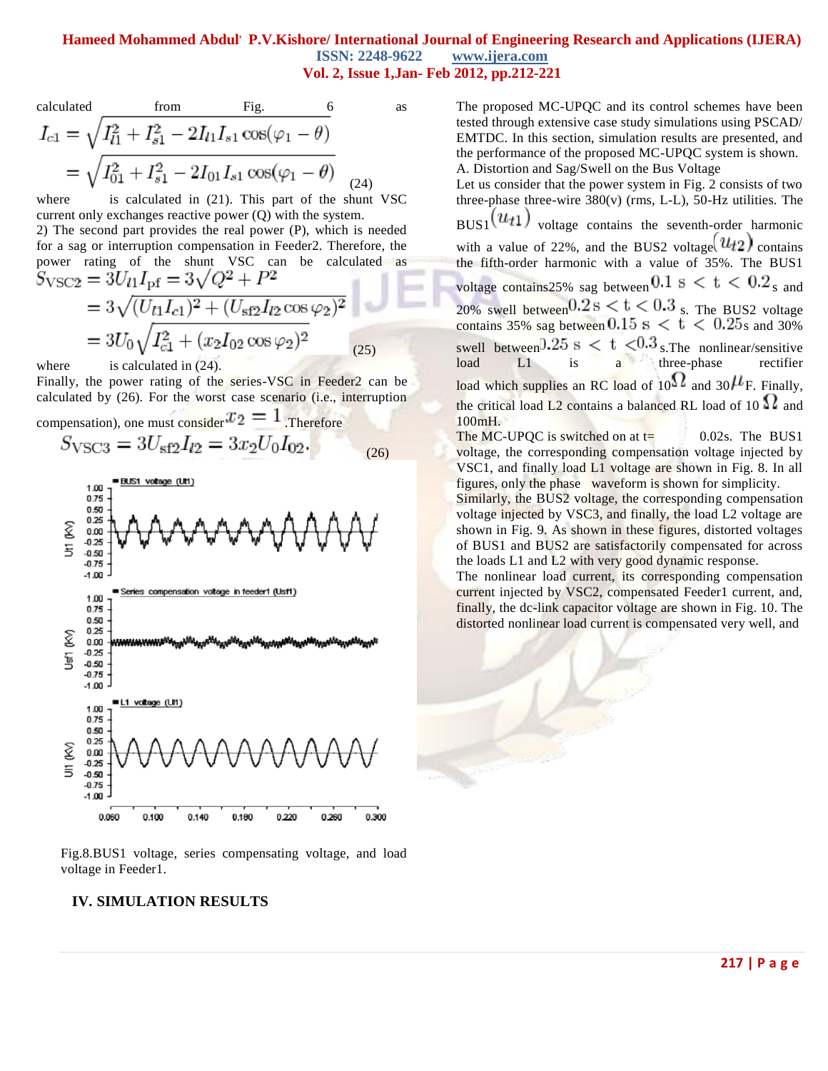calculated from Fig. 6 as  
\n
$$
I_{c1} = \sqrt{I_{l1}^2 + I_{s1}^2 - 2I_{l1}I_{s1}\cos(\varphi_1 - \theta)}
$$
\n
$$
= \sqrt{I_{01}^2 + I_{s1}^2 - 2I_{01}I_{s1}\cos(\varphi_1 - \theta)}
$$
\n(24)

where is calculated in (21). This part of the shunt VSC current only exchanges reactive power (Q) with the system. 2) The second part provides the real power (P), which is needed for a sag or interruption compensation in Feeder2. Therefore, the power rating of the shunt VSC can be calculated as  $S_{\text{VSC2}} = 3U_{l1}I_{\text{pf}} = 3\sqrt{Q^2 + P^2}$ 

$$
= 3\sqrt{(U_{l1}I_{c1})^2 + (U_{\text{sf2}}I_{l2}\cos\varphi_2)^2}
$$
  
= 
$$
3U_0\sqrt{I_{c1}^2 + (x_2I_{02}\cos\varphi_2)^2}
$$
 (25)

where is calculated in  $(24)$ .

Finally, the power rating of the series-VSC in Feeder2 can be calculated by (26). For the worst case scenario (i.e., interruption

$$
S_{\text{VSC3}} = 3U_{\text{sf2}}I_{l2} = 3x_2U_0I_{02}.
$$
\n
$$
(26)
$$



Fig.8.BUS1 voltage, series compensating voltage, and load voltage in Feeder1.

 **IV. SIMULATION RESULTS**

The proposed MC-UPQC and its control schemes have been tested through extensive case study simulations using PSCAD/ EMTDC. In this section, simulation results are presented, and the performance of the proposed MC-UPQC system is shown. A. Distortion and Sag/Swell on the Bus Voltage

Let us consider that the power system in Fig. 2 consists of two three-phase three-wire 380(v) (rms, L-L), 50-Hz utilities. The  $BUS1}(u_{t1})$  voltage contains the seventh-order harmonic with a value of 22%, and the BUS2 voltage  $(u_{t2})$  contains the fifth-order harmonic with a value of 35%. The BUS1 voltage contains25% sag between  $0.1 \text{ s} < t < 0.2 \text{ s}$  and 20% swell between  $0.28 \leq t \leq 0.3$  s. The BUS2 voltage contains 35% sag between  $0.15 \text{ s} < t < 0.25 \text{s}$  and 30% swell between  $3.25 \leq t \leq 0.5$  s. The nonlinear/sensitive load L1 is a three-phase rectifier load which supplies an RC load of 10  $\Omega$  and 30  $\mu$  F. Finally, the critical load L2 contains a balanced RL load of 10  $\Omega$  and 100mH.

The MC-UPQC is switched on at  $t=$  0.02s. The BUS1 voltage, the corresponding compensation voltage injected by VSC1, and finally load L1 voltage are shown in Fig. 8. In all figures, only the phase waveform is shown for simplicity.

Similarly, the BUS2 voltage, the corresponding compensation voltage injected by VSC3, and finally, the load L2 voltage are shown in Fig. 9. As shown in these figures, distorted voltages of BUS1 and BUS2 are satisfactorily compensated for across the loads L1 and L2 with very good dynamic response.

The nonlinear load current, its corresponding compensation current injected by VSC2, compensated Feeder1 current, and, finally, the dc-link capacitor voltage are shown in Fig. 10. The distorted nonlinear load current is compensated very well, and

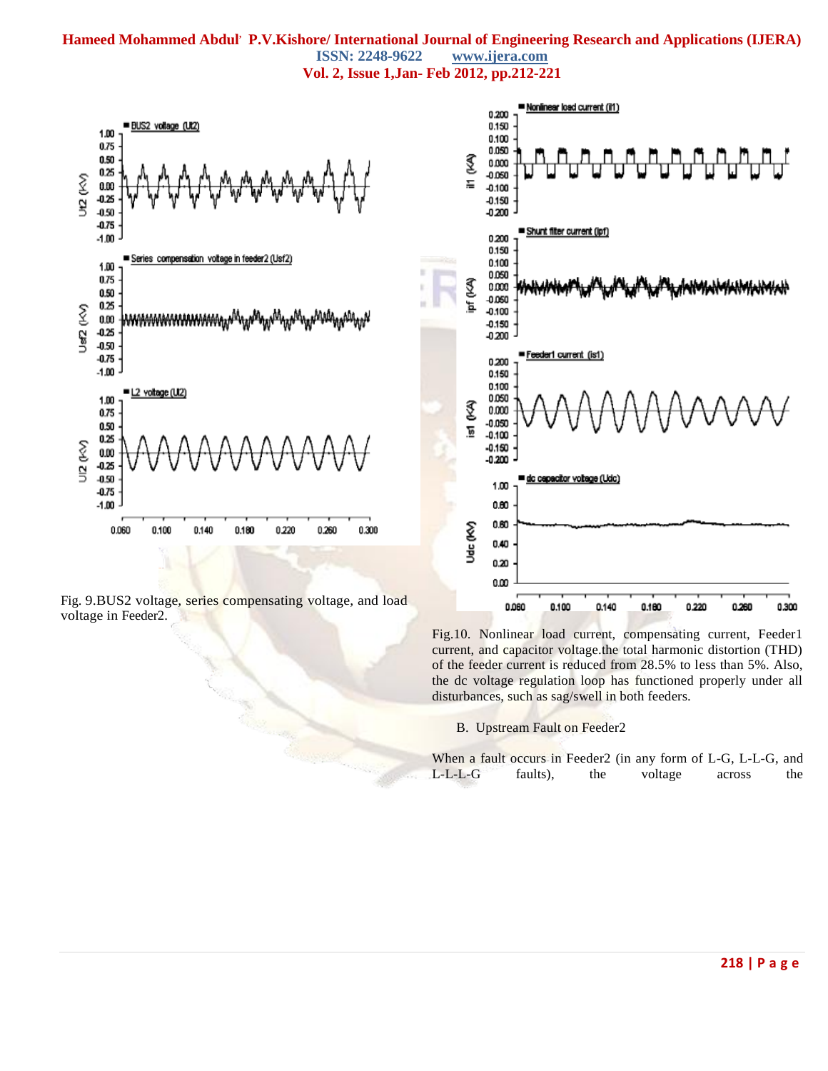×



Fig. 9.BUS2 voltage, series compensating voltage, and load voltage in Feeder2.



Fig.10. Nonlinear load current, compensating current, Feeder1 current, and capacitor voltage.the total harmonic distortion (THD) of the feeder current is reduced from 28.5% to less than 5%. Also, the dc voltage regulation loop has functioned properly under all disturbances, such as sag/swell in both feeders.

#### B. Upstream Fault on Feeder2

When a fault occurs in Feeder2 (in any form of L-G, L-L-G, and L-L-L-G faults), the voltage across the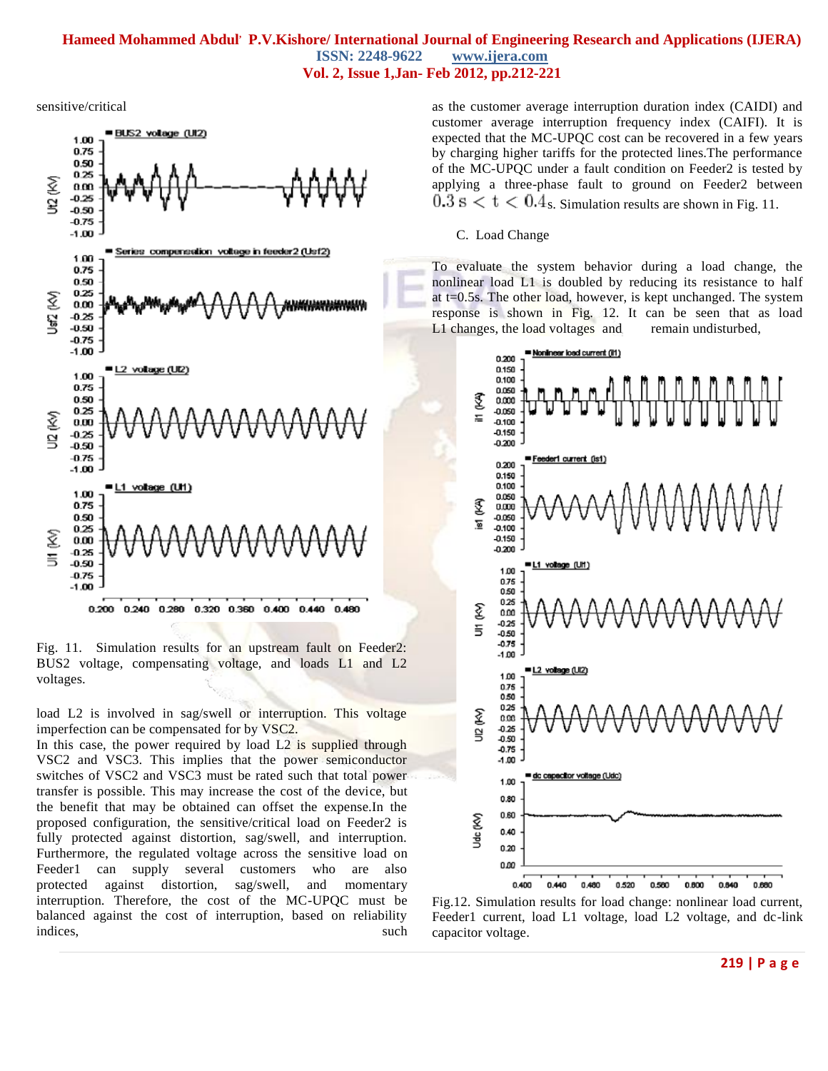sensitive/critical



Fig. 11. Simulation results for an upstream fault on Feeder2: BUS2 voltage, compensating voltage, and loads L1 and L2 voltages.

load L<sub>2</sub> is involved in sag/swell or interruption. This voltage imperfection can be compensated for by VSC2.

In this case, the power required by load L2 is supplied through VSC2 and VSC3. This implies that the power semiconductor switches of VSC2 and VSC3 must be rated such that total power transfer is possible. This may increase the cost of the device, but the benefit that may be obtained can offset the expense.In the proposed configuration, the sensitive/critical load on Feeder2 is fully protected against distortion, sag/swell, and interruption. Furthermore, the regulated voltage across the sensitive load on Feeder1 can supply several customers who are also protected against distortion, sag/swell, and momentary interruption. Therefore, the cost of the MC-UPQC must be balanced against the cost of interruption, based on reliability indices, such

as the customer average interruption duration index (CAIDI) and customer average interruption frequency index (CAIFI). It is expected that the MC-UPQC cost can be recovered in a few years by charging higher tariffs for the protected lines.The performance of the MC-UPQC under a fault condition on Feeder2 is tested by applying a three-phase fault to ground on Feeder2 between  $0.3 \text{ s} < t < 0.4 \text{ s}$ . Simulation results are shown in Fig. 11.

#### C. Load Change

To evaluate the system behavior during a load change, the nonlinear load L1 is doubled by reducing its resistance to half at t=0.5s. The other load, however, is kept unchanged. The system response is shown in Fig. 12. It can be seen that as load L1 changes, the load voltages and remain undisturbed,



Fig.12. Simulation results for load change: nonlinear load current, Feeder1 current, load L1 voltage, load L2 voltage, and dc-link capacitor voltage.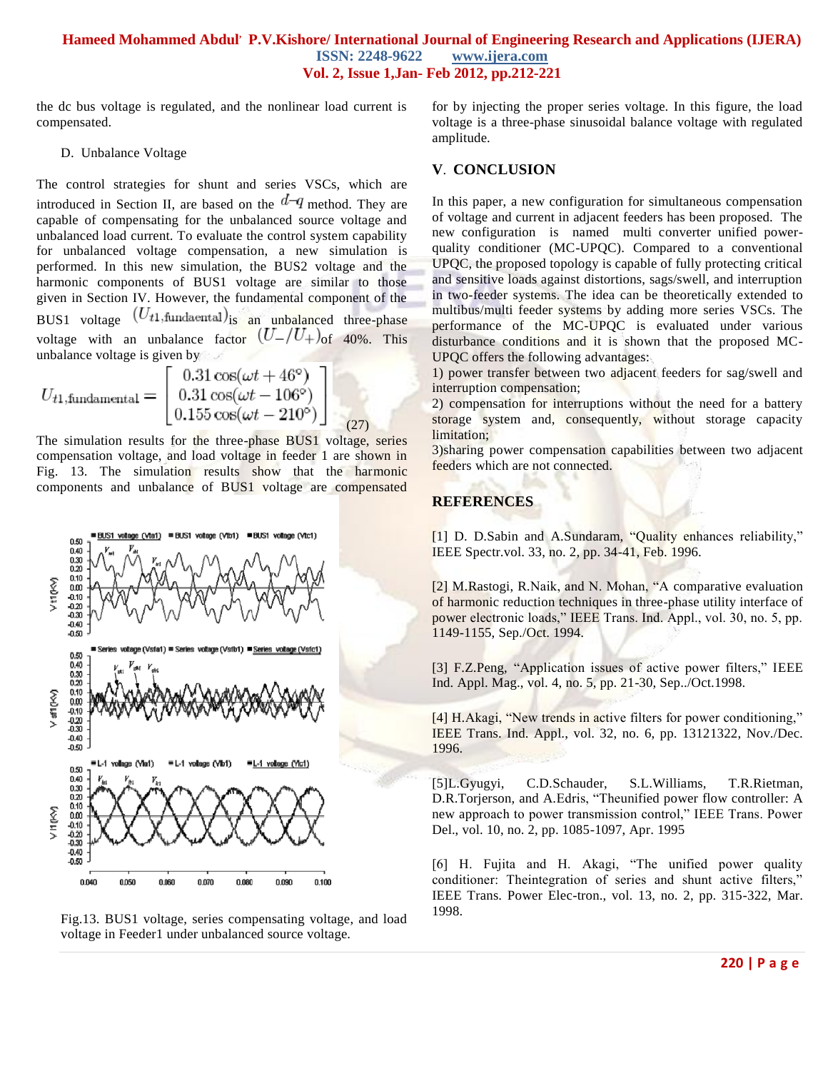the dc bus voltage is regulated, and the nonlinear load current is compensated.

#### D. Unbalance Voltage

The control strategies for shunt and series VSCs, which are introduced in Section II, are based on the  $d-q$  method. They are capable of compensating for the unbalanced source voltage and unbalanced load current. To evaluate the control system capability for unbalanced voltage compensation, a new simulation is performed. In this new simulation, the BUS2 voltage and the harmonic components of BUS1 voltage are similar to those given in Section IV. However, the fundamental component of the BUS1 voltage  $(U_{t1}, \text{fundamental})_{\text{is}}$  an unbalanced three-phase voltage with an unbalance factor  $(U_-/U_+)$  of 40%. This unbalance voltage is given by

$$
U_{t1, \text{fundamental}} = \begin{bmatrix} 0.31 \cos(\omega t + 46^{\circ}) \\ 0.31 \cos(\omega t - 106^{\circ}) \\ 0.155 \cos(\omega t - 210^{\circ}) \end{bmatrix}
$$
 (27)

The simulation results for the three-phase BUS1 voltage, series compensation voltage, and load voltage in feeder 1 are shown in Fig. 13. The simulation results show that the harmonic components and unbalance of BUS1 voltage are compensated





for by injecting the proper series voltage. In this figure, the load voltage is a three-phase sinusoidal balance voltage with regulated amplitude.

#### **V**. **CONCLUSION**

In this paper, a new configuration for simultaneous compensation of voltage and current in adjacent feeders has been proposed. The new configuration is named multi converter unified powerquality conditioner (MC-UPQC). Compared to a conventional UPQC, the proposed topology is capable of fully protecting critical and sensitive loads against distortions, sags/swell, and interruption in two-feeder systems. The idea can be theoretically extended to multibus/multi feeder systems by adding more series VSCs. The performance of the MC-UPQC is evaluated under various disturbance conditions and it is shown that the proposed MC-UPQC offers the following advantages:

1) power transfer between two adjacent feeders for sag/swell and interruption compensation;

2) compensation for interruptions without the need for a battery storage system and, consequently, without storage capacity limitation;

3)sharing power compensation capabilities between two adjacent feeders which are not connected.

### **REFERENCES**

[1] D. D.Sabin and A.Sundaram, "Quality enhances reliability," IEEE Spectr.vol. 33, no. 2, pp. 34-41, Feb. 1996.

[2] M.Rastogi, R.Naik, and N. Mohan, "A comparative evaluation of harmonic reduction techniques in three-phase utility interface of power electronic loads," IEEE Trans. Ind. Appl., vol. 30, no. 5, pp. 1149-1155, Sep./Oct. 1994.

[3] F.Z.Peng, "Application issues of active power filters," IEEE Ind. Appl. Mag., vol. 4, no. 5, pp. 21-30, Sep../Oct.1998.

[4] H.Akagi, "New trends in active filters for power conditioning," IEEE Trans. Ind. Appl., vol. 32, no. 6, pp. 13121322, Nov./Dec. 1996.

[5]L.Gyugyi, C.D.Schauder, S.L.Williams, T.R.Rietman, D.R.Torjerson, and A.Edris, "Theunified power flow controller: A new approach to power transmission control," IEEE Trans. Power Del., vol. 10, no. 2, pp. 1085-1097, Apr. 1995

[6] H. Fujita and H. Akagi, "The unified power quality conditioner: Theintegration of series and shunt active filters," IEEE Trans. Power Elec-tron., vol. 13, no. 2, pp. 315-322, Mar. 1998.